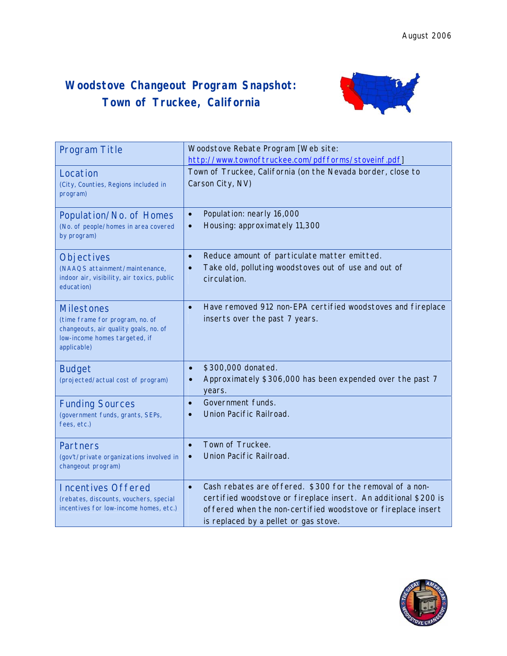## **Woodstove Changeout Program Snapshot: Town of Truckee, California**



| <b>Program Title</b>                                                                                                                          | Woodstove Rebate Program [Web site:<br>http://www.townoftruckee.com/pdfforms/stoveinf.pdf]                                                                                                                                                         |
|-----------------------------------------------------------------------------------------------------------------------------------------------|----------------------------------------------------------------------------------------------------------------------------------------------------------------------------------------------------------------------------------------------------|
| Location<br>(City, Counties, Regions included in<br>program)                                                                                  | Town of Truckee, California (on the Nevada border, close to<br>Carson City, NV)                                                                                                                                                                    |
| Population/No. of Homes<br>(No. of people/homes in area covered<br>by program)                                                                | Population: nearly 16,000<br>$\bullet$<br>Housing: approximately 11,300<br>$\bullet$                                                                                                                                                               |
| Objectives<br>(NAAQS attainment/maintenance,<br>indoor air, visibility, air toxics, public<br>education)                                      | Reduce amount of particulate matter emitted.<br>$\bullet$<br>Take old, polluting woodstoves out of use and out of<br>$\bullet$<br>circulation.                                                                                                     |
| <b>Milestones</b><br>(time frame for program, no. of<br>changeouts, air quality goals, no. of<br>low-income homes targeted, if<br>applicable) | Have removed 912 non-EPA certified woodstoves and fireplace<br>$\bullet$<br>inserts over the past 7 years.                                                                                                                                         |
| <b>Budget</b><br>(projected/actual cost of program)                                                                                           | \$300,000 donated.<br>$\bullet$<br>Approximately \$306,000 has been expended over the past 7<br>$\bullet$<br>years.                                                                                                                                |
| <b>Funding Sources</b><br>(government funds, grants, SEPs,<br>fees, etc.)                                                                     | Government funds.<br>$\bullet$<br>Union Pacific Railroad.                                                                                                                                                                                          |
| <b>Partners</b><br>(gov't/private organizations involved in<br>changeout program)                                                             | Town of Truckee.<br>$\bullet$<br>Union Pacific Railroad.<br>$\bullet$                                                                                                                                                                              |
| <b>Incentives Offered</b><br>(rebates, discounts, vouchers, special<br>incentives for low-income homes, etc.)                                 | Cash rebates are offered. \$300 for the removal of a non-<br>$\bullet$<br>certified woodstove or fireplace insert. An additional \$200 is<br>offered when the non-certified woodstove or fireplace insert<br>is replaced by a pellet or gas stove. |